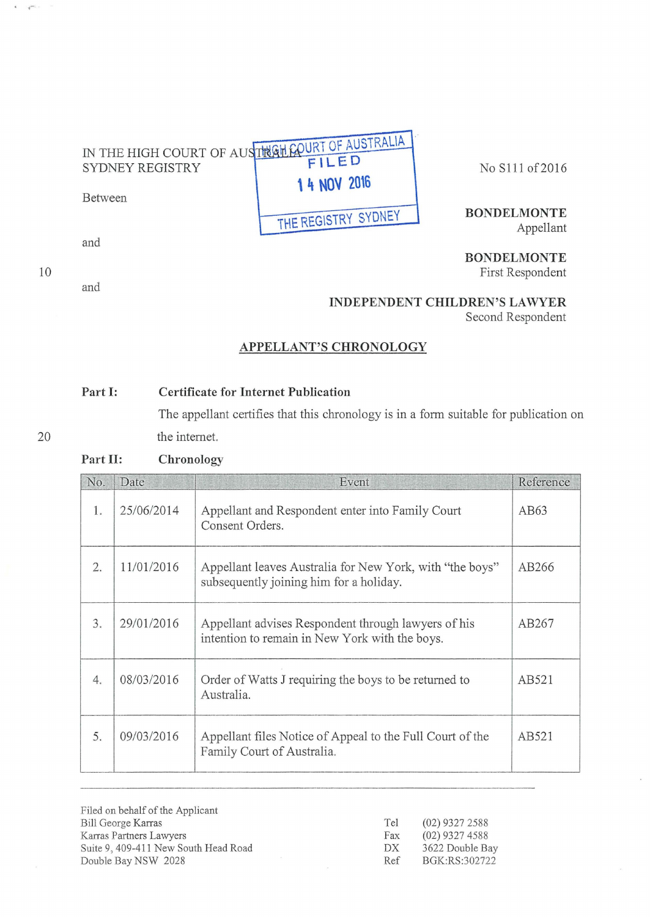## IN THE HIGH COURT OF AUSTRALIA FILED SYDNEY REGISTRY 1 4 NOV 2016

Between

and

10

 $\sqrt{\phantom{a}}$ 

and

No Slll of2016

**BONDELMONTE**  Appellant

**BONDELMONTE**  First Respondent

**INDEPENDENT CHILDREN'S LAWYER** 

Second Respondent

## **APPELLANT'S CHRONOLOGY**

**THE REGISTRY SYDNEY** 

## **Part 1: Certificate for Internet Publication**

The appellant certifies that this chronology is in a form suitable for publication on the intemet.

20

## **Part 11: Chronology**

| No. | Date       | Event                                                                                                 | Reference |
|-----|------------|-------------------------------------------------------------------------------------------------------|-----------|
| 1.  | 25/06/2014 | Appellant and Respondent enter into Family Court<br>Consent Orders.                                   | AB63      |
| 2.  | 11/01/2016 | Appellant leaves Australia for New York, with "the boys"<br>subsequently joining him for a holiday.   | AB266     |
| 3.  | 29/01/2016 | Appellant advises Respondent through lawyers of his<br>intention to remain in New York with the boys. | AB267     |
| 4.  | 08/03/2016 | Order of Watts J requiring the boys to be returned to<br>Australia.                                   | AB521     |
| 5.  | 09/03/2016 | Appellant files Notice of Appeal to the Full Court of the<br>Family Court of Australia.               | AB521     |

Filed on behalf of the Applicant Bill George Karras Karras Partners Lawyers Suite 9, 409-411 New South Head Road Double Bay NSW 2028

| Tel | (02) 9327 2588  |
|-----|-----------------|
| Fax | (02) 9327 4588  |
| DX  | 3622 Double Bay |
| Ref | BGK:RS:302722   |